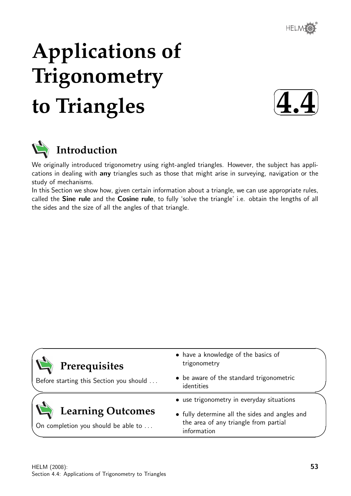

# **Applications of Trigonometry to Triangles**





We originally introduced trigonometry using right-angled triangles. However, the subject has applications in dealing with any triangles such as those that might arise in surveying, navigation or the study of mechanisms.

In this Section we show how, given certain information about a triangle, we can use appropriate rules, called the Sine rule and the Cosine rule, to fully 'solve the triangle' i.e. obtain the lengths of all the sides and the size of all the angles of that triangle.

| Prerequisites                                                   | • have a knowledge of the basics of<br>trigonometry                                                    |  |
|-----------------------------------------------------------------|--------------------------------------------------------------------------------------------------------|--|
| Before starting this Section you should                         | • be aware of the standard trigonometric<br>identities                                                 |  |
|                                                                 | • use trigonometry in everyday situations                                                              |  |
| <b>Learning Outcomes</b><br>On completion you should be able to | • fully determine all the sides and angles and<br>the area of any triangle from partial<br>information |  |
|                                                                 |                                                                                                        |  |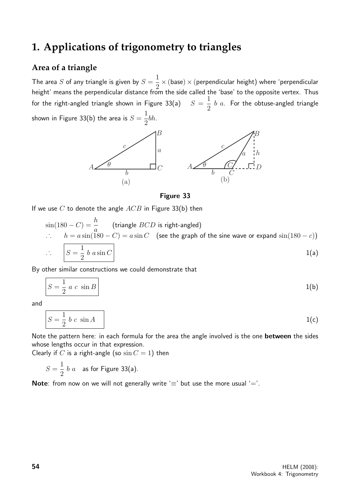## **1. Applications of trigonometry to triangles**

## **Area of a triangle**

The area  $S$  of any triangle is given by  $S=\mathbb{R}^3$ 1 2  $\times$  (base)  $\times$  (perpendicular height) where 'perpendicular height' means the perpendicular distance from the side called the 'base' to the opposite vertex. Thus for the right-angled triangle shown in Figure 33(a)  $S=$ 1 2  $b$   $a$ . For the obtuse-angled triangle shown in Figure 33(b) the area is  $S=\,$ 1 bh.



#### Figure 33

If we use C to denote the angle  $ACB$  in Figure 33(b) then

$$
\sin(180 - C) = \frac{h}{a}
$$
 (triangle *BCD* is right-angled)  
\n
$$
\therefore h = a \sin(180 - C) = a \sin C
$$
 (see the graph of the sine wave or expand  $\sin(180 - c)$ )  
\n
$$
\therefore S = \frac{1}{2} b a \sin C
$$
 (see the graph of the sine wave or expand  $\sin(180 - c)$ )

By other similar constructions we could demonstrate that

$$
S = \frac{1}{2} a c \sin B
$$
 1(b)

and

$$
S = \frac{1}{2} b c \sin A \tag{1(c)}
$$

Note the pattern here: in each formula for the area the angle involved is the one **between** the sides whose lengths occur in that expression.

Clearly if C is a right-angle (so  $\sin C = 1$ ) then

$$
S = \frac{1}{2} b a
$$
 as for Figure 33(a).

**Note:** from now on we will not generally write ' $\equiv$ ' but use the more usual ' $=$ '.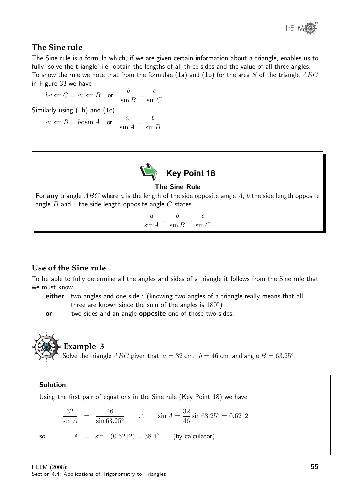

## **The Sine rule**

The Sine rule is a formula which, if we are given certain information about a triangle, enables us to fully 'solve the triangle' i.e. obtain the lengths of all three sides and the value of all three angles. To show the rule we note that from the formulae (1a) and (1b) for the area S of the triangle  $ABC$ in Figure 33 we have

$$
ba \sin C = ac \sin B \quad \text{or} \quad \frac{b}{\sin B} = \frac{c}{\sin C}
$$
  
Similarly using (1b) and (1c)  

$$
ac \sin B = bc \sin A \quad \text{or} \quad \frac{a}{\sin A} = \frac{b}{\sin B}
$$



The Sine Rule

For any triangle  $ABC$  where a is the length of the side opposite angle A, b the side length opposite angle  $B$  and  $c$  the side length opposite angle  $C$  states

$$
\frac{a}{\sin A} = \frac{b}{\sin B} = \frac{c}{\sin C}
$$

## **Use of the Sine rule**

To be able to fully determine all the angles and sides of a triangle it follows from the Sine rule that we must know

either two angles and one side : (knowing two angles of a triangle really means that all three are known since the sum of the angles is  $180^{\circ}$ )

or two sides and an angle **opposite** one of those two sides.

**Example 3**  
Solve the triangle *ABC* given that 
$$
a = 32
$$
 cm,  $b = 46$  cm and angle  $B = 63.25^{\circ}$ .

**Solution**  
\nUsing the first pair of equations in the Sine rule (Key Point 18) we have  
\n
$$
\frac{32}{\sin A} = \frac{46}{\sin 63.25^{\circ}} \qquad \therefore \qquad \sin A = \frac{32}{46} \sin 63.25^{\circ} = 0.6212
$$
\nso\n
$$
A = \sin^{-1}(0.6212) = 38.4^{\circ}
$$
\n(by calculator)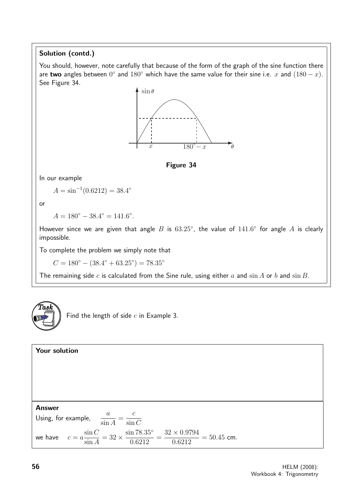## Solution (contd.)

You should, however, note carefully that because of the form of the graph of the sine function there are two angles between  $0^{\circ}$  and  $180^{\circ}$  which have the same value for their sine i.e. x and  $(180 - x)$ . See Figure 34.





Find the length of side  $c$  in Example 3.

Your solution Answer Using, for example,  $\frac{a}{a}$ sin A = c  $\sin C$ we have  $c = a$  $\sin C$ sin A  $= 32 \times$ sin 78.35◦ 0.6212 =  $32 \times 0.9794$ 0.6212  $= 50.45$  cm.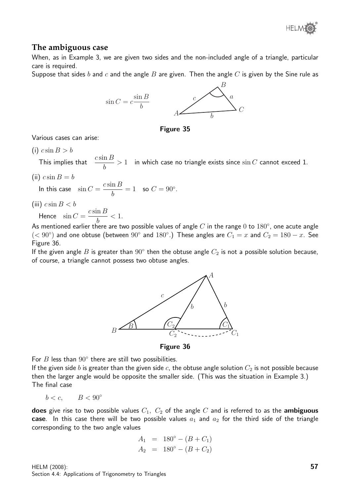

## **The ambiguous case**

When, as in Example 3, we are given two sides and the non-included angle of a triangle, particular care is required.

Suppose that sides b and c and the angle B are given. Then the angle C is given by the Sine rule as



Figure 35

Various cases can arise:

 $(i)$   $c \sin B > b$ 

This implies that  $\frac{c \sin B}{l}$ b  $> 1$  in which case no triangle exists since  $\sin C$  cannot exceed 1.

(ii)  $c \sin B = b$ 

In this case  $\sin C =$  $c \sin B$ b  $= 1$  so  $C = 90^\circ$ .

(iii)  $c \sin B < b$ 

Hence  $\sin C =$  $c \sin B$  $< 1$ .

b As mentioned earlier there are two possible values of angle  $C$  in the range  $0$  to  $180^\circ$ , one acute angle  $($  <  $90^{\circ}$ ) and one obtuse (between  $90^{\circ}$  and  $180^{\circ}$ .) These angles are  $C_1 = x$  and  $C_2 = 180 - x$ . See Figure 36.

If the given angle  $B$  is greater than  $90^{\circ}$  then the obtuse angle  $C_2$  is not a possible solution because, of course, a triangle cannot possess two obtuse angles.



Figure 36

For  $B$  less than  $90^\circ$  there are still two possibilities.

If the given side b is greater than the given side c, the obtuse angle solution  $C_2$  is not possible because then the larger angle would be opposite the smaller side. (This was the situation in Example 3.) The final case

$$
b < c, \qquad B < 90^{\circ}
$$

does give rise to two possible values  $C_1$ ,  $C_2$  of the angle  $C$  and is referred to as the ambiguous case. In this case there will be two possible values  $a_1$  and  $a_2$  for the third side of the triangle corresponding to the two angle values

$$
A_1 = 180^\circ - (B + C_1)
$$
  
\n
$$
A_2 = 180^\circ - (B + C_2)
$$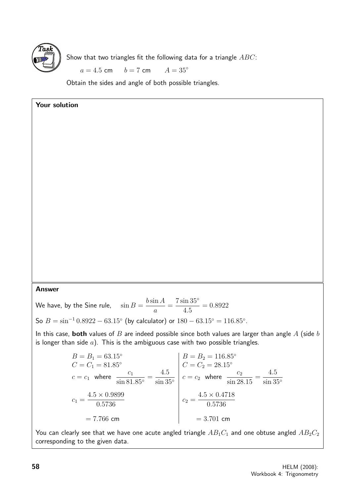

Show that two triangles fit the following data for a triangle  $ABC$ :

 $a = 4.5$  cm  $b = 7$  cm  $A = 35^{\circ}$ 

Obtain the sides and angle of both possible triangles.

#### Your solution

#### Answer

We have, by the Sine rule,  $\sin B =$  $b \sin A$ a = 7 sin 35◦ 4.5  $= 0.8922$ 

So  $B = \sin^{-1} 0.8922 - 63.15^{\circ}$  (by calculator) or  $180 - 63.15^{\circ} = 116.85^{\circ}$ .

In this case, both values of  $B$  are indeed possible since both values are larger than angle  $A$  (side  $b$ is longer than side  $a$ ). This is the ambiguous case with two possible triangles.

$$
B = B_1 = 63.15^{\circ}
$$
  
\n
$$
C = C_1 = 81.85^{\circ}
$$
  
\n
$$
c = c_1 \text{ where } \frac{c_1}{\sin 81.85^{\circ}} = \frac{4.5}{\sin 35^{\circ}}
$$
  
\n
$$
C_1 = \frac{4.5 \times 0.9899}{0.5736}
$$
  
\n
$$
= 7.766 \text{ cm}
$$
  
\n
$$
C_2 = \frac{4.5 \times 0.4718}{0.5736}
$$
  
\n
$$
C_3 = \frac{4.5 \times 0.4718}{0.5736}
$$
  
\n
$$
C_4 = \frac{4.5 \times 0.9899}{0.5736}
$$
  
\n
$$
C_5 = 22.15^{\circ}
$$
  
\n
$$
C_6 = 22.15^{\circ}
$$
  
\n
$$
C_7 = 28.15^{\circ}
$$
  
\n
$$
C_8 = 22.15^{\circ}
$$
  
\n
$$
C_9 = \frac{4.5 \times 0.4718}{0.5736}
$$
  
\n
$$
C_1 = \frac{4.5 \times 0.9899}{0.5736}
$$
  
\n
$$
C_2 = \frac{4.5 \times 0.4718}{0.5736}
$$
  
\n
$$
C_3 = 3.701 \text{ cm}
$$

You can clearly see that we have one acute angled triangle  $AB_1C_1$  and one obtuse angled  $AB_2C_2$ corresponding to the given data.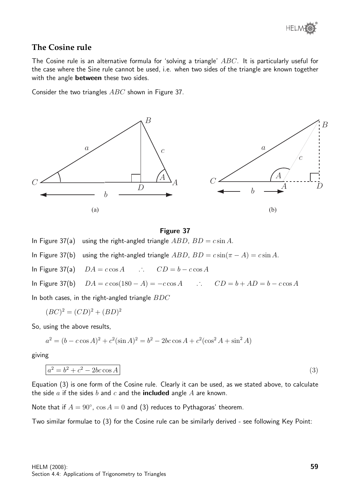

## **The Cosine rule**

The Cosine rule is an alternative formula for 'solving a triangle' ABC. It is particularly useful for the case where the Sine rule cannot be used, i.e. when two sides of the triangle are known together with the angle **between** these two sides.

Consider the two triangles  $ABC$  shown in Figure 37.



#### Figure 37

In Figure 37(a) using the right-angled triangle  $ABD$ ,  $BD = c \sin A$ .

In Figure 37(b) using the right-angled triangle  $ABD$ ,  $BD = c \sin(\pi - A) = c \sin A$ .

In Figure 37(a)  $DA = c \cos A$  .  $CD = b - c \cos A$ 

In Figure 37(b)  $DA = c \cos(180 - A) = -c \cos A$  .  $CD = b + AD = b - c \cos A$ 

In both cases, in the right-angled triangle  $BDC$ 

$$
(BC)2 = (CD)2 + (BD)2
$$

So, using the above results,

$$
a^{2} = (b - c \cos A)^{2} + c^{2}(\sin A)^{2} = b^{2} - 2bc \cos A + c^{2}(\cos^{2} A + \sin^{2} A)
$$

giving

$$
a^2 = b^2 + c^2 - 2bc \cos A \tag{3}
$$

Equation (3) is one form of the Cosine rule. Clearly it can be used, as we stated above, to calculate the side  $a$  if the sides  $b$  and  $c$  and the **included** angle  $A$  are known.

Note that if  $A = 90^{\circ}$ ,  $\cos A = 0$  and (3) reduces to Pythagoras' theorem.

Two similar formulae to (3) for the Cosine rule can be similarly derived - see following Key Point: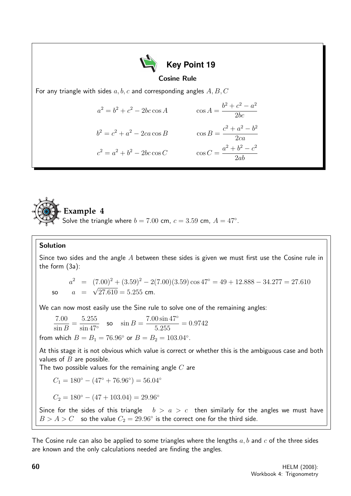



#### Solution

Since two sides and the angle  $A$  between these sides is given we must first use the Cosine rule in the form (3a):

 $a^2 = (7.00)^2 + (3.59)^2 - 2(7.00)(3.59)\cos 47^\circ = 49 + 12.888 - 34.277 = 27.610$ so  $a =$ √  $27.610 = 5.255$  cm.

We can now most easily use the Sine rule to solve one of the remaining angles:

$$
\frac{7.00}{\sin B} = \frac{5.255}{\sin 47^{\circ}} \quad \text{so} \quad \sin B = \frac{7.00 \sin 47^{\circ}}{5.255} = 0.9742
$$

from which  $B = B_1 = 76.96^{\circ}$  or  $B = B_2 = 103.04^{\circ}$ .

At this stage it is not obvious which value is correct or whether this is the ambiguous case and both values of  $B$  are possible.

The two possible values for the remaining angle  $C$  are

$$
C_1 = 180^\circ - (47^\circ + 76.96^\circ) = 56.04^\circ
$$

$$
C_2 = 180^\circ - (47 + 103.04) = 29.96^\circ
$$

Since for the sides of this triangle  $b > a > c$  then similarly for the angles we must have  $B > A > C$  so the value  $C_2 = 29.96^{\circ}$  is the correct one for the third side.

The Cosine rule can also be applied to some triangles where the lengths  $a, b$  and  $c$  of the three sides are known and the only calculations needed are finding the angles.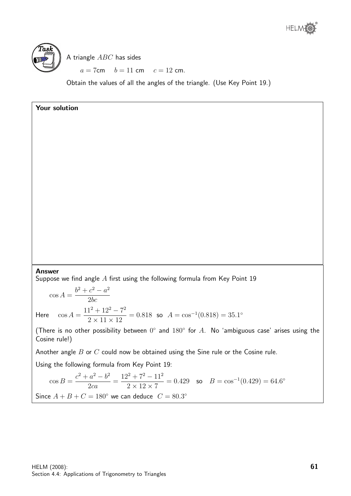



A triangle ABC has sides

 $a = 7$ cm  $b = 11$  cm  $c = 12$  cm.

Obtain the values of all the angles of the triangle. (Use Key Point 19.)

## Your solution

#### Answer

Suppose we find angle  $A$  first using the following formula from Key Point 19

 $\cos A =$  $b^2 + c^2 - a^2$  $2bc$ Here  $\cos A =$  $11^2 + 12^2 - 7^2$  $2 \times 11 \times 12$  $= 0.818$  so  $A = \cos^{-1}(0.818) = 35.1^{\circ}$ 

(There is no other possibility between  $0^{\circ}$  and  $180^{\circ}$  for A. No 'ambiguous case' arises using the Cosine rule!)

Another angle  $B$  or  $C$  could now be obtained using the Sine rule or the Cosine rule.

Using the following formula from Key Point 19:

$$
\cos B = \frac{c^2 + a^2 - b^2}{2ca} = \frac{12^2 + 7^2 - 11^2}{2 \times 12 \times 7} = 0.429 \quad \text{so} \quad B = \cos^{-1}(0.429) = 64.6^{\circ}
$$
\nSince  $A + B + C = 180^{\circ}$  we can deduce  $C = 80.3^{\circ}$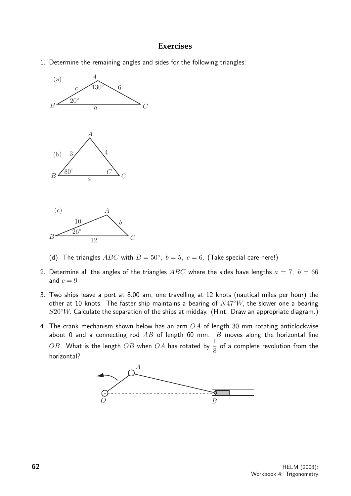## **Exercises**

1. Determine the remaining angles and sides for the following triangles:



- (d) The triangles  $ABC$  with  $B = 50^{\circ}$ ,  $b = 5$ ,  $c = 6$ . (Take special care here!)
- 2. Determine all the angles of the triangles  $ABC$  where the sides have lengths  $a = 7, b = 66$ and  $c = 9$
- 3. Two ships leave a port at 8.00 am, one travelling at 12 knots (nautical miles per hour) the other at 10 knots. The faster ship maintains a bearing of  $N47°W$ , the slower one a bearing  $S20°W$ . Calculate the separation of the ships at midday. (Hint: Draw an appropriate diagram.)
- 4. The crank mechanism shown below has an arm  $OA$  of length 30 mm rotating anticlockwise about 0 and a connecting rod  $AB$  of length 60 mm.  $B$  moves along the horizontal line OB. What is the length OB when OA has rotated by  $\frac{1}{2}$ 8 of a complete revolution from the horizontal?

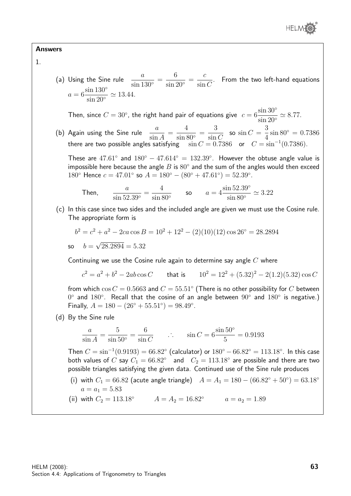

#### Answers

1.

(a) Using the Sine rule  $\frac{a}{a}$  $\frac{a}{\sin 130^\circ}$  = 6  $\frac{6}{\sin 20^{\circ}}$  = c  $\sin C$ . From the two left-hand equations  $a=6$  $\sin 130^\circ$  $\frac{\sin 155}{\sin 20^{\circ}} \simeq 13.44.$ 

Then, since  $C = 30^{\circ}$ , the right hand pair of equations give  $c = 6$  $\sin 30^\circ$  $\frac{\sin 90}{\sin 20^{\circ}} \simeq 8.77.$ 

(b) Again using the Sine rule  $\frac{a}{b}$ sin A = 4  $\frac{1}{\sin 80^\circ}$  = 3  $\sin C$ so  $\sin C =$ 3 4  $\sin 80^\circ = 0.7386$ there are two possible angles satisfying  $\sin C = 0.7386$  or  $C = \sin^{-1}(0.7386)$ .

These are  $47.61°$  and  $180° - 47.614° = 132.39°$ . However the obtuse angle value is impossible here because the angle  $B$  is  $80^{\circ}$  and the sum of the angles would then exceed 180<sup>°</sup> Hence  $c = 47.01$ <sup>°</sup> so  $A = 180$ <sup>°</sup>  $- (80$ <sup>°</sup>  $+ 47.61$ <sup>°</sup> $) = 52.39$ <sup>°</sup>.

Then, 
$$
\frac{a}{\sin 52.39^\circ} = \frac{4}{\sin 80^\circ}
$$
 so 
$$
a = 4 \frac{\sin 52.39^\circ}{\sin 80^\circ} \approx 3.22
$$

(c) In this case since two sides and the included angle are given we must use the Cosine rule. The appropriate form is

$$
b2 = c2 + a2 - 2ca \cos B = 102 + 122 - (2)(10)(12) \cos 26o = 28.2894
$$
  
so  $b = \sqrt{28.2894} = 5.32$ 

Continuing we use the Cosine rule again to determine say angle  $C$  where

$$
c^2 = a^2 + b^2 - 2ab\cos C \qquad \text{that is} \qquad 10^2 = 12^2 + (5.32)^2 - 2(1.2)(5.32)\cos C
$$

from which  $\cos C = 0.5663$  and  $C = 55.51^\circ$  (There is no other possibility for  $C$  between  $0^{\circ}$  and  $180^{\circ}$ . Recall that the cosine of an angle between  $90^{\circ}$  and  $180^{\circ}$  is negative.) Finally,  $A = 180 - (26^{\circ} + 55.51^{\circ}) = 98.49^{\circ}$ .

(d) By the Sine rule

$$
\frac{a}{\sin A} = \frac{5}{\sin 50^{\circ}} = \frac{6}{\sin C} \qquad \therefore \qquad \sin C = 6 \frac{\sin 50^{\circ}}{5} = 0.9193
$$

Then  $C=\sin^{-1}(0.9193)=66.82^{\circ}$  (calculator) or  $180^{\circ}-66.82^{\circ}=113.18^{\circ}$ . In this case both values of  $C$  say  $C_1 = 66.82^{\circ}$  and  $C_2 = 113.18^{\circ}$  are possible and there are two possible triangles satisfying the given data. Continued use of the Sine rule produces

- (i) with  $C_1 = 66.82$  (acute angle triangle)  $A = A_1 = 180 (66.82° + 50°) = 63.18°$  $a = a_1 = 5.83$
- (ii) with  $C_2 = 113.18°$   $A = A_2 = 16.82°$   $a = a_2 = 1.89$